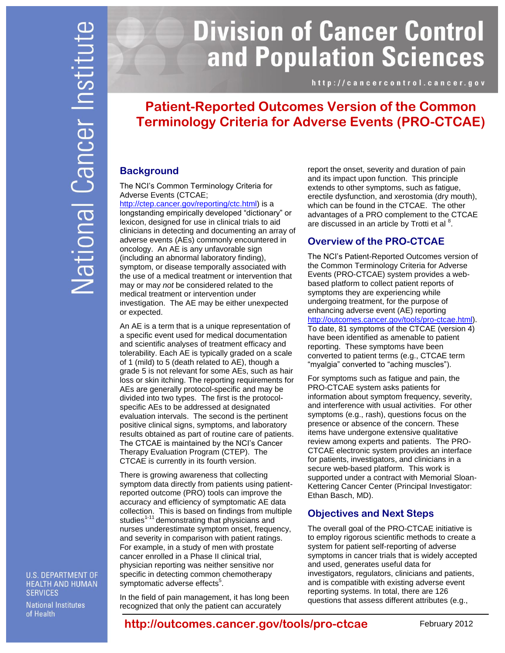# **Division of Cancer Control** and Population Sciences

http://cancercontrol.cancer.gov

# **Patient-Reported Outcomes Version of the Common Terminology Criteria for Adverse Events (PRO-CTCAE)**

## **Background**

The NCI's Common Terminology Criteria for Adverse Events (CTCAE;

[http://ctep.cancer.gov/reporting/ctc.html\)](http://ctep.cancer.gov/reporting/ctc.html) is a longstanding empirically developed "dictionary" or lexicon, designed for use in clinical trials to aid clinicians in detecting and documenting an array of adverse events (AEs) commonly encountered in oncology. An AE is any unfavorable sign (including an abnormal laboratory finding), symptom, or disease temporally associated with the use of a medical treatment or intervention that may or may *not* be considered related to the medical treatment or intervention under investigation. The AE may be either unexpected or expected.

An AE is a term that is a unique representation of a specific event used for medical documentation and scientific analyses of treatment efficacy and tolerability. Each AE is typically graded on a scale of 1 (mild) to 5 (death related to AE), though a grade 5 is not relevant for some AEs, such as hair loss or skin itching. The reporting requirements for AEs are generally protocol-specific and may be divided into two types. The first is the protocolspecific AEs to be addressed at designated evaluation intervals. The second is the pertinent positive clinical signs, symptoms, and laboratory results obtained as part of routine care of patients. The CTCAE is maintained by the NCI's Cancer Therapy Evaluation Program (CTEP). The CTCAE is currently in its fourth version.

There is growing awareness that collecting symptom data directly from patients using patientreported outcome (PRO) tools can improve the accuracy and efficiency of symptomatic AE data collection. This is based on findings from multiple studies<sup>1-11</sup> demonstrating that physicians and nurses underestimate symptom onset, frequency, and severity in comparison with patient ratings. For example, in a study of men with prostate cancer enrolled in a Phase II clinical trial, physician reporting was neither sensitive nor specific in detecting common chemotherapy symptomatic adverse effects<sup>5</sup>.

In the field of pain management, it has long been recognized that only the patient can accurately

report the onset, severity and duration of pain and its impact upon function. This principle extends to other symptoms, such as fatigue, erectile dysfunction, and xerostomia (dry mouth), which can be found in the CTCAE. The other advantages of a PRO complement to the CTCAE are discussed in an article by Trotti et al  $8$ .

## **Overview of the PRO-CTCAE**

The NCI's Patient-Reported Outcomes version of the Common Terminology Criteria for Adverse Events (PRO-CTCAE) system provides a webbased platform to collect patient reports of symptoms they are experiencing while undergoing treatment, for the purpose of enhancing adverse event (AE) reporting [http://outcomes.cancer.gov/tools/pro-ctcae.html\)](http://outcomes.cancer.gov/tools/pro-ctcae.html). To date, 81 symptoms of the CTCAE (version 4) have been identified as amenable to patient reporting. These symptoms have been converted to patient terms (e.g., CTCAE term "myalgia" converted to "aching muscles").

For symptoms such as fatigue and pain, the PRO-CTCAE system asks patients for information about symptom frequency, severity, and interference with usual activities. For other symptoms (e.g., rash), questions focus on the presence or absence of the concern. These items have undergone extensive qualitative review among experts and patients. The PRO-CTCAE electronic system provides an interface for patients, investigators, and clinicians in a secure web-based platform. This work is supported under a contract with Memorial Sloan-Kettering Cancer Center (Principal Investigator: Ethan Basch, MD).

## **Objectives and Next Steps**

The overall goal of the PRO-CTCAE initiative is to employ rigorous scientific methods to create a system for patient self-reporting of adverse symptoms in cancer trials that is widely accepted and used, generates useful data for investigators, regulators, clinicians and patients, and is compatible with existing adverse event reporting systems. In total, there are 126 questions that assess different attributes (e.g.,

**U.S. DEPARTMENT OF HEALTH AND HUMAN SERVICES** 

**National Institutes** of Health